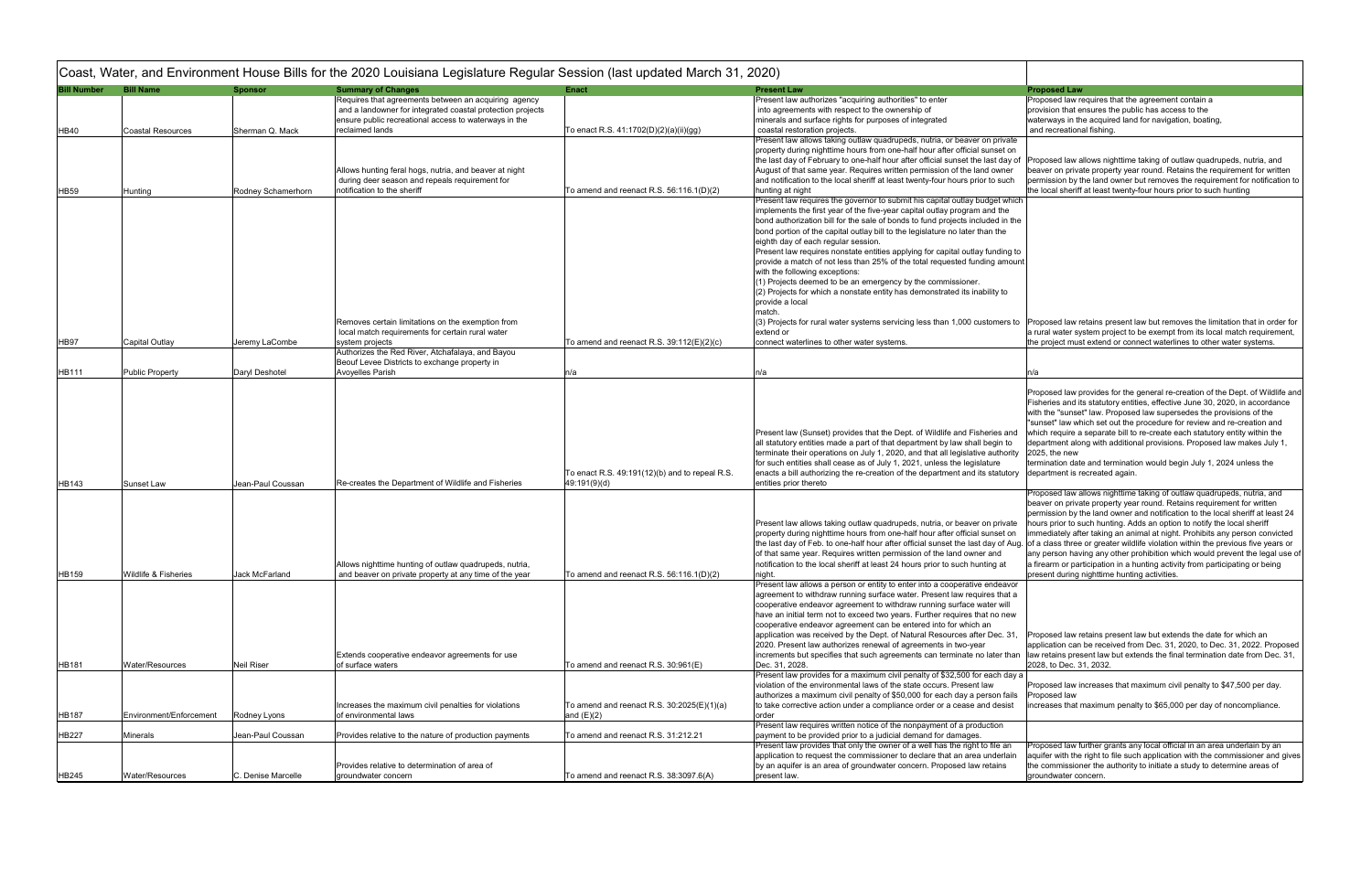| <b>Bill Number</b> | <b>Bill Name</b>        | <b>Sponsor</b>     | <b>Summary of Changes</b>                                                | <b>Enact</b>                                   | <b>Present Law</b>                                                                                                                                       | <b>Proposed Law</b>                |
|--------------------|-------------------------|--------------------|--------------------------------------------------------------------------|------------------------------------------------|----------------------------------------------------------------------------------------------------------------------------------------------------------|------------------------------------|
|                    |                         |                    | Requires that agreements between an acquiring agency                     |                                                | Present law authorizes "acquiring authorities" to enter                                                                                                  | Proposed law r                     |
|                    |                         |                    | and a landowner for integrated coastal protection projects               |                                                | into agreements with respect to the ownership of                                                                                                         | provision that e                   |
|                    |                         |                    | ensure public recreational access to waterways in the                    |                                                | minerals and surface rights for purposes of integrated                                                                                                   | waterways in th                    |
| HB40               | Coastal Resources       | Sherman Q. Mack    | reclaimed lands                                                          | To enact R.S. 41:1702(D)(2)(a)(ii)(gg)         | coastal restoration projects.                                                                                                                            | and recreation                     |
|                    |                         |                    |                                                                          |                                                | Present law allows taking outlaw quadrupeds, nutria, or beaver on private                                                                                |                                    |
|                    |                         |                    |                                                                          |                                                | property during nighttime hours from one-half hour after official sunset on                                                                              |                                    |
|                    |                         |                    |                                                                          |                                                | the last day of February to one-half hour after official sunset the last day of                                                                          | Proposed law a                     |
|                    |                         |                    | Allows hunting feral hogs, nutria, and beaver at night                   |                                                | August of that same year. Requires written permission of the land owner                                                                                  | beaver on priva                    |
|                    |                         |                    | during deer season and repeals requirement for                           |                                                | and notification to the local sheriff at least twenty-four hours prior to such                                                                           | permission by t                    |
| <b>HB59</b>        | Hunting                 | Rodney Schamerhorn | notification to the sheriff                                              | To amend and reenact R.S. $56:116.1(D)(2)$     | hunting at night                                                                                                                                         | the local sheriff                  |
|                    |                         |                    |                                                                          |                                                | Present law requires the governor to submit his capital outlay budget which<br>implements the first year of the five-year capital outlay program and the |                                    |
|                    |                         |                    |                                                                          |                                                | bond authorization bill for the sale of bonds to fund projects included in the                                                                           |                                    |
|                    |                         |                    |                                                                          |                                                | bond portion of the capital outlay bill to the legislature no later than the                                                                             |                                    |
|                    |                         |                    |                                                                          |                                                | eighth day of each regular session.                                                                                                                      |                                    |
|                    |                         |                    |                                                                          |                                                | Present law requires nonstate entities applying for capital outlay funding to                                                                            |                                    |
|                    |                         |                    |                                                                          |                                                | provide a match of not less than 25% of the total requested funding amount                                                                               |                                    |
|                    |                         |                    |                                                                          |                                                | with the following exceptions:                                                                                                                           |                                    |
|                    |                         |                    |                                                                          |                                                | (1) Projects deemed to be an emergency by the commissioner.                                                                                              |                                    |
|                    |                         |                    |                                                                          |                                                | (2) Projects for which a nonstate entity has demonstrated its inability to                                                                               |                                    |
|                    |                         |                    |                                                                          |                                                | provide a local                                                                                                                                          |                                    |
|                    |                         |                    |                                                                          |                                                | match.                                                                                                                                                   |                                    |
|                    |                         |                    | Removes certain limitations on the exemption from                        |                                                | (3) Projects for rural water systems servicing less than 1,000 customers to                                                                              | Proposed law r                     |
|                    |                         |                    | local match requirements for certain rural water                         |                                                | extend or                                                                                                                                                | a rural water sy                   |
| <b>HB97</b>        | Capital Outlay          | Jeremy LaCombe     | system projects                                                          | To amend and reenact R.S. $39:112(E)(2)(c)$    | connect waterlines to other water systems.                                                                                                               | the project mus                    |
|                    |                         |                    | Authorizes the Red River, Atchafalaya, and Bayou                         |                                                |                                                                                                                                                          |                                    |
| HB111              | <b>Public Property</b>  | Daryl Deshotel     | Beouf Levee Districts to exchange property in<br><b>Avoyelles Parish</b> | n/a                                            | n/a                                                                                                                                                      | n/a                                |
|                    |                         |                    |                                                                          |                                                |                                                                                                                                                          |                                    |
|                    |                         |                    |                                                                          |                                                |                                                                                                                                                          | Proposed law p                     |
|                    |                         |                    |                                                                          |                                                |                                                                                                                                                          | Fisheries and it                   |
|                    |                         |                    |                                                                          |                                                |                                                                                                                                                          | with the "sunse                    |
|                    |                         |                    |                                                                          |                                                |                                                                                                                                                          | "sunset" law wh                    |
|                    |                         |                    |                                                                          |                                                | Present law (Sunset) provides that the Dept. of Wildlife and Fisheries and                                                                               | which require a                    |
|                    |                         |                    |                                                                          |                                                | all statutory entities made a part of that department by law shall begin to                                                                              | department alo                     |
|                    |                         |                    |                                                                          |                                                | terminate their operations on July 1, 2020, and that all legislative authority                                                                           | $2025$ , the new                   |
|                    |                         |                    |                                                                          |                                                | for such entities shall cease as of July 1, 2021, unless the legislature                                                                                 | termination dat                    |
|                    |                         |                    |                                                                          | To enact R.S. 49:191(12)(b) and to repeal R.S. | enacts a bill authorizing the re-creation of the department and its statutory                                                                            | department is r                    |
| <b>HB143</b>       | Sunset Law              | Jean-Paul Coussan  | Re-creates the Department of Wildlife and Fisheries                      | 49:191(9)(d)                                   | entities prior thereto                                                                                                                                   |                                    |
|                    |                         |                    |                                                                          |                                                |                                                                                                                                                          | Proposed law a<br>beaver on priva  |
|                    |                         |                    |                                                                          |                                                |                                                                                                                                                          | permission by t                    |
|                    |                         |                    |                                                                          |                                                | Present law allows taking outlaw quadrupeds, nutria, or beaver on private                                                                                | hours prior to s                   |
|                    |                         |                    |                                                                          |                                                | property during nighttime hours from one-half hour after official sunset on                                                                              | immediately aft                    |
|                    |                         |                    |                                                                          |                                                | the last day of Feb. to one-half hour after official sunset the last day of Aug. of a class three                                                        |                                    |
|                    |                         |                    |                                                                          |                                                | of that same year. Requires written permission of the land owner and                                                                                     | any person hav                     |
|                    |                         |                    | Allows nighttime hunting of outlaw quadrupeds, nutria,                   |                                                | notification to the local sheriff at least 24 hours prior to such hunting at                                                                             | a firearm or par                   |
| <b>HB159</b>       | Wildlife & Fisheries    | Jack McFarland     | and beaver on private property at any time of the year                   | To amend and reenact R.S. 56:116.1(D)(2)       | night.                                                                                                                                                   | present during                     |
|                    |                         |                    |                                                                          |                                                | Present law allows a person or entity to enter into a cooperative endeavor                                                                               |                                    |
|                    |                         |                    |                                                                          |                                                | agreement to withdraw running surface water. Present law requires that a                                                                                 |                                    |
|                    |                         |                    |                                                                          |                                                | cooperative endeavor agreement to withdraw running surface water will                                                                                    |                                    |
|                    |                         |                    |                                                                          |                                                | have an initial term not to exceed two years. Further requires that no new                                                                               |                                    |
|                    |                         |                    |                                                                          |                                                | cooperative endeavor agreement can be entered into for which an                                                                                          |                                    |
|                    |                         |                    |                                                                          |                                                | application was received by the Dept. of Natural Resources after Dec. 31,<br>2020. Present law authorizes renewal of agreements in two-year              | Proposed law re<br>application can |
|                    |                         |                    | Extends cooperative endeavor agreements for use                          |                                                | increments but specifies that such agreements can terminate no later than                                                                                | law retains pres                   |
| <b>HB181</b>       | Water/Resources         | Neil Riser         | of surface waters                                                        | To amend and reenact R.S. 30:961(E)            | Dec. 31, 2028.                                                                                                                                           | 2028, to Dec. 3                    |
|                    |                         |                    |                                                                          |                                                | Present law provides for a maximum civil penalty of \$32,500 for each day a                                                                              |                                    |
|                    |                         |                    |                                                                          |                                                | violation of the environmental laws of the state occurs. Present law                                                                                     | Proposed law in                    |
|                    |                         |                    |                                                                          |                                                | authorizes a maximum civil penalty of \$50,000 for each day a person fails                                                                               | Proposed law                       |
|                    |                         |                    | Increases the maximum civil penalties for violations                     | To amend and reenact R.S. 30:2025(E)(1)(a)     | to take corrective action under a compliance order or a cease and desist                                                                                 | increases that r                   |
| <b>HB187</b>       | Environment/Enforcement | Rodney Lyons       | of environmental laws                                                    | and $(E)(2)$                                   | order                                                                                                                                                    |                                    |
|                    |                         |                    |                                                                          |                                                | Present law requires written notice of the nonpayment of a production                                                                                    |                                    |
| HB227              | Minerals                | Jean-Paul Coussan  | Provides relative to the nature of production payments                   | To amend and reenact R.S. 31:212.21            | payment to be provided prior to a judicial demand for damages.                                                                                           |                                    |
|                    |                         |                    |                                                                          |                                                | Present law provides that only the owner of a well has the right to file an                                                                              | Proposed law f                     |
|                    |                         |                    |                                                                          |                                                | application to request the commissioner to declare that an area underlain                                                                                | aquifer with the                   |
|                    |                         |                    | Provides relative to determination of area of                            |                                                | by an aquifer is an area of groundwater concern. Proposed law retains                                                                                    | the commission                     |
| HB245              | Water/Resources         | C. Denise Marcelle | groundwater concern                                                      | To amend and reenact R.S. 38:3097.6(A)         | present law.                                                                                                                                             | groundwater co                     |

|        | <b>Proposed Law</b>                                                                                                                                              |
|--------|------------------------------------------------------------------------------------------------------------------------------------------------------------------|
|        | Proposed law requires that the agreement contain a                                                                                                               |
|        | provision that ensures the public has access to the                                                                                                              |
|        | waterways in the acquired land for navigation, boating,                                                                                                          |
|        | and recreational fishing.                                                                                                                                        |
| vate   |                                                                                                                                                                  |
| t on   |                                                                                                                                                                  |
| lay of | Proposed law allows nighttime taking of outlaw quadrupeds, nutria, and                                                                                           |
| ner    | beaver on private property year round. Retains the requirement for written                                                                                       |
| uch    | permission by the land owner but removes the requirement for notification to                                                                                     |
|        | the local sheriff at least twenty-four hours prior to such hunting                                                                                               |
| which  |                                                                                                                                                                  |
| ٦e     |                                                                                                                                                                  |
| in the |                                                                                                                                                                  |
| е      |                                                                                                                                                                  |
| ing to |                                                                                                                                                                  |
| mount  |                                                                                                                                                                  |
|        |                                                                                                                                                                  |
|        |                                                                                                                                                                  |
| ίO     |                                                                                                                                                                  |
|        |                                                                                                                                                                  |
|        |                                                                                                                                                                  |
| ers to | Proposed law retains present law but removes the limitation that in order for                                                                                    |
|        | a rural water system project to be exempt from its local match requirement,                                                                                      |
|        | the project must extend or connect waterlines to other water systems.                                                                                            |
|        |                                                                                                                                                                  |
|        |                                                                                                                                                                  |
|        | n/a                                                                                                                                                              |
|        | Proposed law provides for the general re-creation of the Dept. of Wildlife and                                                                                   |
|        | Fisheries and its statutory entities, effective June 30, 2020, in accordance                                                                                     |
|        | with the "sunset" law. Proposed law supersedes the provisions of the                                                                                             |
|        | "sunset" law which set out the procedure for review and re-creation and                                                                                          |
| and    | which require a separate bill to re-create each statutory entity within the                                                                                      |
| ı to   | department along with additional provisions. Proposed law makes July 1,                                                                                          |
| ıority | 2025, the new                                                                                                                                                    |
|        | termination date and termination would begin July 1, 2024 unless the                                                                                             |
| utory  | department is recreated again.                                                                                                                                   |
|        |                                                                                                                                                                  |
|        | Proposed law allows nighttime taking of outlaw quadrupeds, nutria, and                                                                                           |
|        | beaver on private property year round. Retains requirement for written                                                                                           |
|        | permission by the land owner and notification to the local sheriff at least 24                                                                                   |
| vate   | hours prior to such hunting. Adds an option to notify the local sheriff                                                                                          |
| t on   | immediately after taking an animal at night. Prohibits any person convicted                                                                                      |
| f Aug. | of a class three or greater wildlife violation within the previous five years or<br>any person having any other prohibition which would prevent the legal use of |
| ıt     | a firearm or participation in a hunting activity from participating or being                                                                                     |
|        | present during nighttime hunting activities.                                                                                                                     |
| avor   |                                                                                                                                                                  |
| າat a  |                                                                                                                                                                  |
| vill   |                                                                                                                                                                  |
| new    |                                                                                                                                                                  |
|        |                                                                                                                                                                  |
| . 31.  | Proposed law retains present law but extends the date for which an                                                                                               |
|        | application can be received from Dec. 31, 2020, to Dec. 31, 2022. Proposed                                                                                       |
| than   | law retains present law but extends the final termination date from Dec. 31,                                                                                     |
|        | 2028, to Dec. 31, 2032.                                                                                                                                          |
| day a  |                                                                                                                                                                  |
| fails  | Proposed law increases that maximum civil penalty to \$47,500 per day.<br>Proposed law                                                                           |
| sist   | increases that maximum penalty to \$65,000 per day of noncompliance.                                                                                             |
|        |                                                                                                                                                                  |
|        |                                                                                                                                                                  |
|        |                                                                                                                                                                  |
| an     | Proposed law further grants any local official in an area underlain by an                                                                                        |
| rlain  | aquifer with the right to file such application with the commissioner and gives                                                                                  |
| s      | the commissioner the authority to initiate a study to determine areas of                                                                                         |
|        | groundwater concern.                                                                                                                                             |
|        |                                                                                                                                                                  |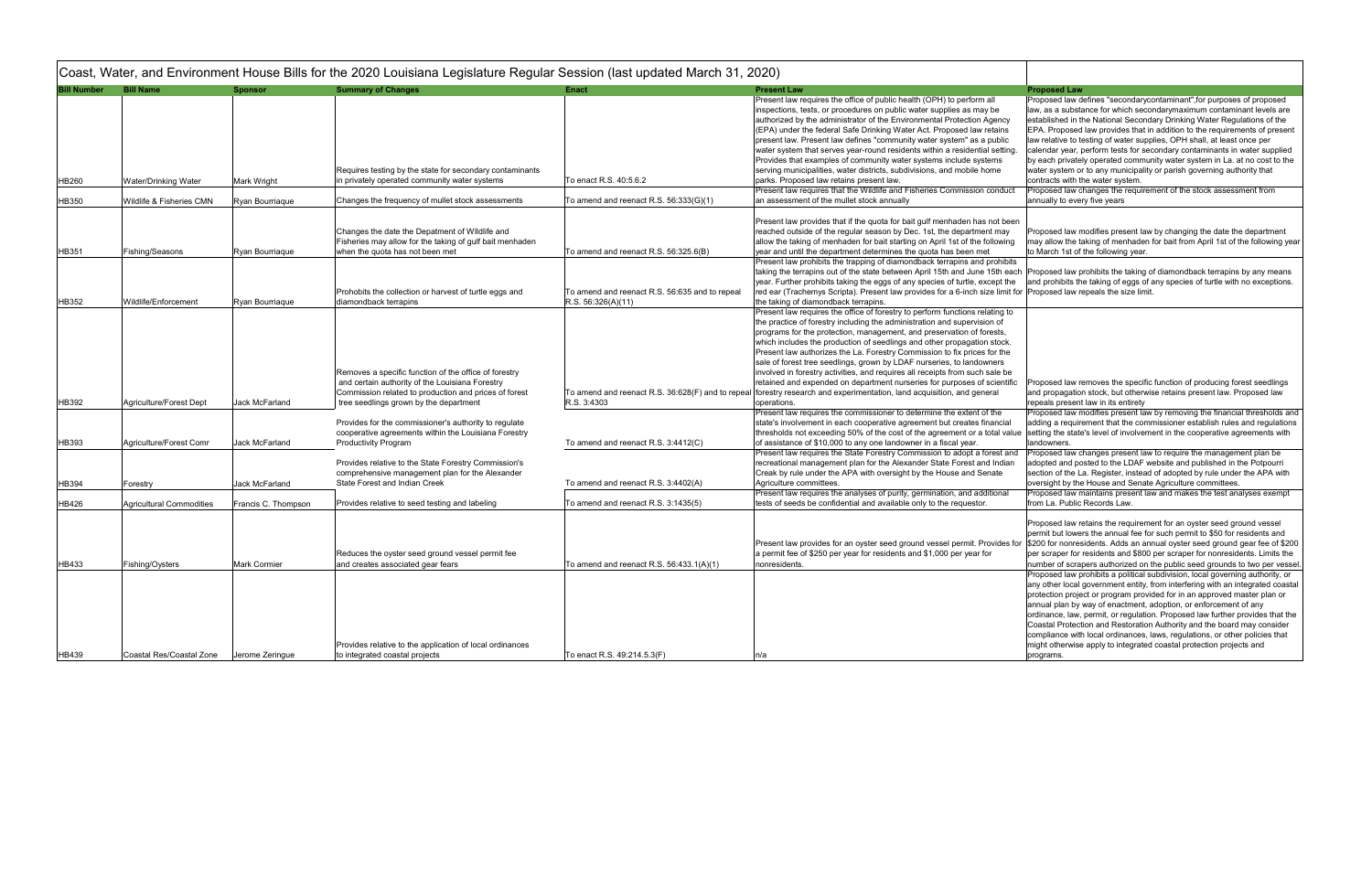| <b>Bill Number</b> | <b>Bill Name</b>                | <b>Sponsor</b>      | <b>Summary of Changes</b>                                                                                                                                                                                   | <b>Enact</b>                                                         | <b>Present Law</b>                                                                                                                                                                                                                                                                                                                                                                                                                                                                                                                                                                                                                                                                                                                                                      | <b>Proposed Law</b>                                                                                                                                                                       |
|--------------------|---------------------------------|---------------------|-------------------------------------------------------------------------------------------------------------------------------------------------------------------------------------------------------------|----------------------------------------------------------------------|-------------------------------------------------------------------------------------------------------------------------------------------------------------------------------------------------------------------------------------------------------------------------------------------------------------------------------------------------------------------------------------------------------------------------------------------------------------------------------------------------------------------------------------------------------------------------------------------------------------------------------------------------------------------------------------------------------------------------------------------------------------------------|-------------------------------------------------------------------------------------------------------------------------------------------------------------------------------------------|
| HB260              | Water/Drinking Water            | Mark Wright         | Requires testing by the state for secondary contaminants<br>in privately operated community water systems                                                                                                   | To enact R.S. 40:5.6.2                                               | Present law requires the office of public health (OPH) to perform all<br>inspections, tests, or procedures on public water supplies as may be<br>authorized by the administrator of the Environmental Protection Agency<br>(EPA) under the federal Safe Drinking Water Act. Proposed law retains<br>present law. Present law defines "community water system" as a public<br>water system that serves year-round residents within a residential setting.<br>Provides that examples of community water systems include systems<br>serving municipalities, water districts, subdivisions, and mobile home<br>parks. Proposed law retains present law.<br>Present law requires that the Wildlife and Fisheries Commission conduct                                          | Proposed law o<br>law, as a substa<br>established in t<br>EPA. Proposed<br>law relative to t<br>calendar year,<br>by each private<br>water system o<br>contracts with t<br>Proposed law o |
| <b>HB350</b>       | Wildlife & Fisheries CMN        | Ryan Bourriaque     | Changes the frequency of mullet stock assessments                                                                                                                                                           | To amend and reenact R.S. $56:333(G)(1)$                             | an assessment of the mullet stock annually                                                                                                                                                                                                                                                                                                                                                                                                                                                                                                                                                                                                                                                                                                                              | annually to eve                                                                                                                                                                           |
| HB351              | Fishing/Seasons                 | Ryan Bourriaque     | Changes the date the Depatment of Wildlife and<br>Fisheries may allow for the taking of gulf bait menhaden<br>when the quota has not been met                                                               | To amend and reenact R.S. $56:325.6(B)$                              | Present law provides that if the quota for bait gulf menhaden has not been<br>reached outside of the regular season by Dec. 1st, the department may<br>allow the taking of menhaden for bait starting on April 1st of the following<br>year and until the department determines the quota has been met                                                                                                                                                                                                                                                                                                                                                                                                                                                                  | Proposed law n<br>may allow the t<br>to March 1st of                                                                                                                                      |
| <b>HB352</b>       | Wildlife/Enforcement            | Ryan Bourriaque     | Prohobits the collection or harvest of turtle eggs and<br>diamondback terrapins                                                                                                                             | To amend and reenact R.S. 56:635 and to repeal<br>R.S. 56:326(A)(11) | Present law prohibits the trapping of diamondback terrapins and prohibits<br>taking the terrapins out of the state between April 15th and June 15th each  Proposed law p<br>year. Further prohibits taking the eggs of any species of turtle, except the<br>red ear (Trachemys Scripta). Present law provides for a 6-inch size limit for Proposed law r<br>the taking of diamondback terrapins.                                                                                                                                                                                                                                                                                                                                                                        | and prohibits th                                                                                                                                                                          |
| <b>HB392</b>       | Agriculture/Forest Dept         | Jack McFarland      | Removes a specific function of the office of forestry<br>and certain authority of the Louisiana Forestry<br>Commission related to production and prices of forest<br>tree seedlings grown by the department | R.S. 3:4303                                                          | Present law requires the office of forestry to perform functions relating to<br>the practice of forestry including the administration and supervision of<br>programs for the protection, management, and preservation of forests,<br>which includes the production of seedlings and other propagation stock.<br>Present law authorizes the La. Forestry Commission to fix prices for the<br>sale of forest tree seedlings, grown by LDAF nurseries, to landowners<br>involved in forestry activities, and requires all receipts from such sale be<br>retained and expended on department nurseries for purposes of scientific<br>To amend and reenact R.S. 36:628(F) and to repeal  forestry research and experimentation, land acquisition, and general<br>operations. | Proposed law r<br>and propagatio<br>repeals present                                                                                                                                       |
| HB393              | Agriculture/Forest Comr         | Jack McFarland      | Provides for the commissioner's authority to regulate<br>cooperative agreements within the Louisiana Forestry<br><b>Productivity Program</b>                                                                | To amend and reenact R.S. 3:4412(C)                                  | Present law requires the commissioner to determine the extent of the<br>state's involvement in each cooperative agreement but creates financial<br>thresholds not exceeding 50% of the cost of the agreement or a total value setting the state<br>of assistance of \$10,000 to any one landowner in a fiscal year.                                                                                                                                                                                                                                                                                                                                                                                                                                                     | Proposed law r<br>adding a requir<br>landowners.                                                                                                                                          |
| HB394              | Forestry                        | Jack McFarland      | Provides relative to the State Forestry Commission's<br>comprehensive management plan for the Alexander<br>State Forest and Indian Creek                                                                    | To amend and reenact R.S. 3:4402(A)                                  | Present law requires the State Forestry Commission to adopt a forest and<br>recreational management plan for the Alexander State Forest and Indian<br>Creak by rule under the APA with oversight by the House and Senate<br>Agriculture committees.                                                                                                                                                                                                                                                                                                                                                                                                                                                                                                                     | Proposed law o<br>adopted and po<br>section of the L<br>oversight by the                                                                                                                  |
| <b>HB426</b>       | <b>Agricultural Commodities</b> | Francis C. Thompson | Provides relative to seed testing and labeling                                                                                                                                                              | To amend and reenact R.S. $3:1435(5)$                                | Present law requires the analyses of purity, germination, and additional<br>tests of seeds be confidential and available only to the requestor.                                                                                                                                                                                                                                                                                                                                                                                                                                                                                                                                                                                                                         | Proposed law r<br>from La. Public                                                                                                                                                         |
| HB433              | Fishing/Oysters                 | <b>Mark Cormier</b> | Reduces the oyster seed ground vessel permit fee<br>and creates associated gear fears                                                                                                                       | To amend and reenact R.S. 56:433.1(A)(1)                             | Present law provides for an oyster seed ground vessel permit. Provides for<br>a permit fee of \$250 per year for residents and \$1,000 per year for<br>nonresidents.                                                                                                                                                                                                                                                                                                                                                                                                                                                                                                                                                                                                    | Proposed law r<br>permit but lowe<br>\$200 for nonres<br>per scraper for<br>number of scra                                                                                                |
| HB439              | Coastal Res/Coastal Zone        | Jerome Zeringue     | Provides relative to the application of local ordinances<br>to integrated coastal projects                                                                                                                  | To enact R.S. 49:214.5.3(F)                                          | n/a                                                                                                                                                                                                                                                                                                                                                                                                                                                                                                                                                                                                                                                                                                                                                                     | Proposed law p<br>any other local<br>protection proje<br>annual plan by<br>ordinance, law,<br><b>Coastal Protect</b><br>compliance witl<br>might otherwise<br>programs.                   |

|                             | Proposed Law                                                                                                                                                                                                                                                                                                                                                                                                                                                                                                                                                                                                                                                                                                                     |
|-----------------------------|----------------------------------------------------------------------------------------------------------------------------------------------------------------------------------------------------------------------------------------------------------------------------------------------------------------------------------------------------------------------------------------------------------------------------------------------------------------------------------------------------------------------------------------------------------------------------------------------------------------------------------------------------------------------------------------------------------------------------------|
| ٦g.<br>ct                   | Proposed law defines "secondarycontaminant", for purposes of proposed<br>law, as a substance for which secondarymaximum contaminant levels are<br>established in the National Secondary Drinking Water Regulations of the<br>EPA. Proposed law provides that in addition to the requirements of present<br>law relative to testing of water supplies, OPH shall, at least once per<br>calendar year, perform tests for secondary contaminants in water supplied<br>by each privately operated community water system in La. at no cost to the<br>water system or to any municipality or parish governing authority that<br>contracts with the water system.<br>Proposed law changes the requirement of the stock assessment from |
|                             | annually to every five years                                                                                                                                                                                                                                                                                                                                                                                                                                                                                                                                                                                                                                                                                                     |
| een<br>ľ<br>١g              | Proposed law modifies present law by changing the date the department<br>may allow the taking of menhaden for bait from April 1st of the following year<br>to March 1st of the following year.                                                                                                                                                                                                                                                                                                                                                                                                                                                                                                                                   |
| its<br>⊧ach<br>٦e<br>it for | Proposed law prohibits the taking of diamondback terrapins by any means<br>and prohibits the taking of eggs of any species of turtle with no exceptions.<br>Proposed law repeals the size limit.                                                                                                                                                                                                                                                                                                                                                                                                                                                                                                                                 |
| O.<br>e<br>е                |                                                                                                                                                                                                                                                                                                                                                                                                                                                                                                                                                                                                                                                                                                                                  |
| ific                        | Proposed law removes the specific function of producing forest seedlings<br>and propagation stock, but otherwise retains present law. Proposed law<br>repeals present law in its entirety                                                                                                                                                                                                                                                                                                                                                                                                                                                                                                                                        |
| ıl<br>alue                  | Proposed law modifies present law by removing the financial thresholds and<br>adding a requirement that the commissioner establish rules and regulations<br>setting the state's level of involvement in the cooperative agreements with<br>landowners.                                                                                                                                                                                                                                                                                                                                                                                                                                                                           |
| ınd<br>3IJ                  | Proposed law changes present law to require the management plan be<br>adopted and posted to the LDAF website and published in the Potpourri<br>section of the La. Register, instead of adopted by rule under the APA with<br>oversight by the House and Senate Agriculture committees.                                                                                                                                                                                                                                                                                                                                                                                                                                           |
|                             | Proposed law maintains present law and makes the test analyses exempt<br>from La. Public Records Law.                                                                                                                                                                                                                                                                                                                                                                                                                                                                                                                                                                                                                            |
| s for                       | Proposed law retains the requirement for an oyster seed ground vessel<br>permit but lowers the annual fee for such permit to \$50 for residents and<br>\$200 for nonresidents. Adds an annual oyster seed ground gear fee of \$200<br>per scraper for residents and \$800 per scraper for nonresidents. Limits the<br>number of scrapers authorized on the public seed grounds to two per vessel.                                                                                                                                                                                                                                                                                                                                |
|                             | Proposed law prohibits a political subdivision, local governing authority, or<br>any other local government entity, from interfering with an integrated coastal<br>protection project or program provided for in an approved master plan or<br>annual plan by way of enactment, adoption, or enforcement of any<br>ordinance, law, permit, or regulation. Proposed law further provides that the<br>Coastal Protection and Restoration Authority and the board may consider<br>compliance with local ordinances, laws, regulations, or other policies that<br>might otherwise apply to integrated coastal protection projects and<br>programs.                                                                                   |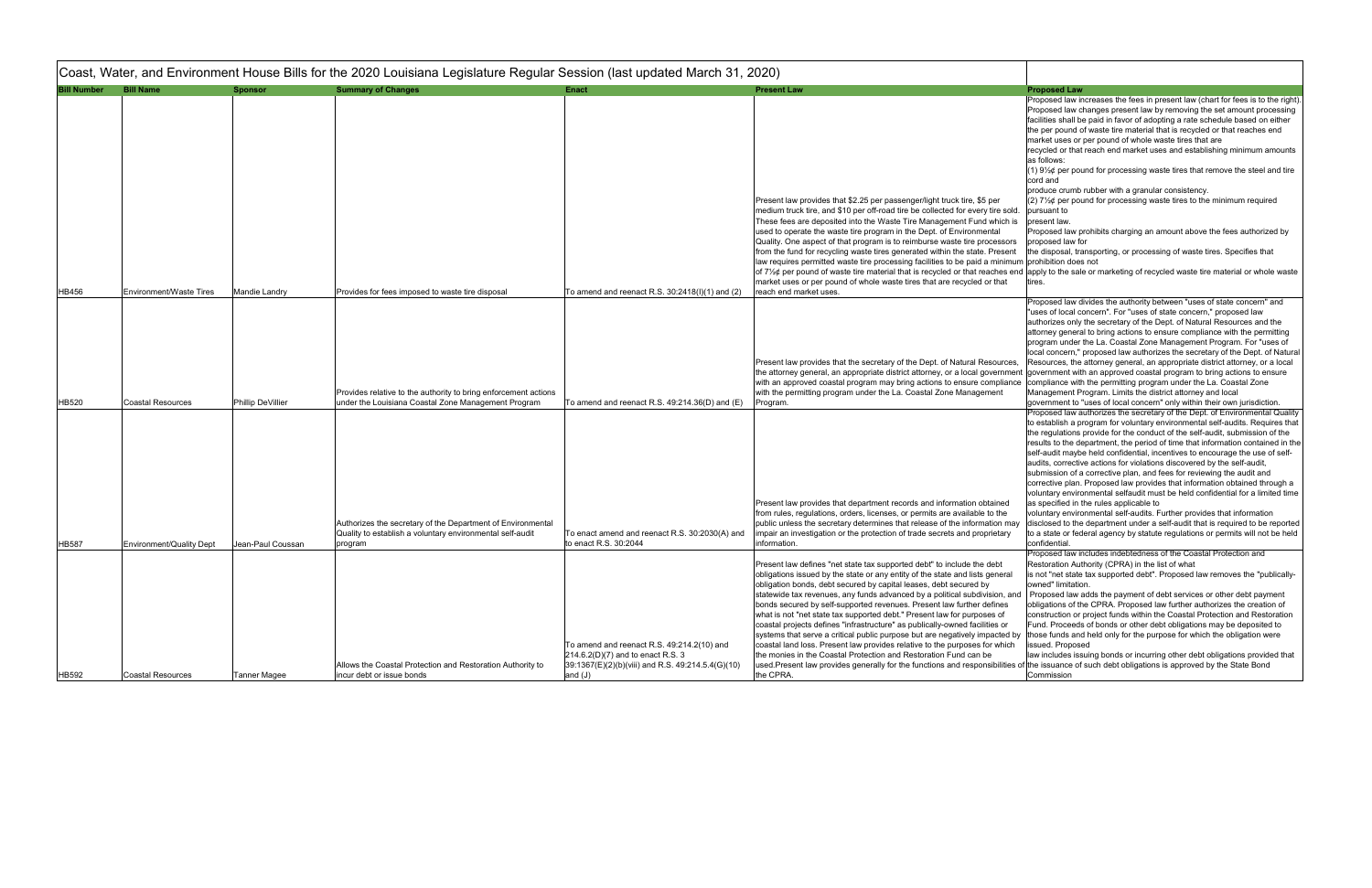| <b>Bill Number</b> | <b>Bill Name</b>                                     | <b>Sponsor</b>                         | <b>Summary of Changes</b>                                                                                                                                                                  | <b>Enact</b>                                                                                                                                         | <b>Present Law</b>                                                                                                                                                                                                                                                                                                                                                                                                                                                                                                                                                                                                                                                                                                                                                                                                                                                                                                                              | <b>Proposed Law</b>                                                                                                                                                                                                                                                                                                                                                                                                                                                                                                                                                                                                                                                                                                                                                                                                                                                                                                                                                                                                                                                                                                        |
|--------------------|------------------------------------------------------|----------------------------------------|--------------------------------------------------------------------------------------------------------------------------------------------------------------------------------------------|------------------------------------------------------------------------------------------------------------------------------------------------------|-------------------------------------------------------------------------------------------------------------------------------------------------------------------------------------------------------------------------------------------------------------------------------------------------------------------------------------------------------------------------------------------------------------------------------------------------------------------------------------------------------------------------------------------------------------------------------------------------------------------------------------------------------------------------------------------------------------------------------------------------------------------------------------------------------------------------------------------------------------------------------------------------------------------------------------------------|----------------------------------------------------------------------------------------------------------------------------------------------------------------------------------------------------------------------------------------------------------------------------------------------------------------------------------------------------------------------------------------------------------------------------------------------------------------------------------------------------------------------------------------------------------------------------------------------------------------------------------------------------------------------------------------------------------------------------------------------------------------------------------------------------------------------------------------------------------------------------------------------------------------------------------------------------------------------------------------------------------------------------------------------------------------------------------------------------------------------------|
|                    |                                                      |                                        |                                                                                                                                                                                            |                                                                                                                                                      | Present law provides that \$2.25 per passenger/light truck tire, \$5 per<br>medium truck tire, and \$10 per off-road tire be collected for every tire sold.<br>These fees are deposited into the Waste Tire Management Fund which is<br>used to operate the waste tire program in the Dept. of Environmental                                                                                                                                                                                                                                                                                                                                                                                                                                                                                                                                                                                                                                    | Proposed law increases the fees in present law (chart for fees is to the right)<br>Proposed law changes present law by removing the set amount processing<br>facilities shall be paid in favor of adopting a rate schedule based on either<br>the per pound of waste tire material that is recycled or that reaches end<br>market uses or per pound of whole waste tires that are<br>recycled or that reach end market uses and establishing minimum amounts<br>as follows:<br>(1) $9\frac{1}{2}\phi$ per pound for processing waste tires that remove the steel and tire<br>cord and<br>produce crumb rubber with a granular consistency.<br>(2) $7\frac{1}{2}$ per pound for processing waste tires to the minimum required<br>pursuant to<br>present law.<br>Proposed law prohibits charging an amount above the fees authorized by                                                                                                                                                                                                                                                                                     |
|                    |                                                      |                                        |                                                                                                                                                                                            |                                                                                                                                                      | Quality. One aspect of that program is to reimburse waste tire processors<br>from the fund for recycling waste tires generated within the state. Present<br>law requires permitted waste tire processing facilities to be paid a minimum prohibition does not<br>of $7\frac{1}{2}\phi$ per pound of waste tire material that is recycled or that reaches end                                                                                                                                                                                                                                                                                                                                                                                                                                                                                                                                                                                    | proposed law for<br>the disposal, transporting, or processing of waste tires. Specifies that<br>apply to the sale or marketing of recycled waste tire material or whole waste                                                                                                                                                                                                                                                                                                                                                                                                                                                                                                                                                                                                                                                                                                                                                                                                                                                                                                                                              |
| HB456              | <b>Environment/Waste Tires</b>                       | Mandie Landry                          | Provides for fees imposed to waste tire disposal                                                                                                                                           | To amend and reenact R.S. $30:2418(1)(1)$ and $(2)$                                                                                                  | market uses or per pound of whole waste tires that are recycled or that<br>reach end market uses.                                                                                                                                                                                                                                                                                                                                                                                                                                                                                                                                                                                                                                                                                                                                                                                                                                               | tires.                                                                                                                                                                                                                                                                                                                                                                                                                                                                                                                                                                                                                                                                                                                                                                                                                                                                                                                                                                                                                                                                                                                     |
|                    |                                                      |                                        | Provides relative to the authority to bring enforcement actions                                                                                                                            |                                                                                                                                                      | Present law provides that the secretary of the Dept. of Natural Resources,<br>the attorney general, an appropriate district attorney, or a local governmen<br>with an approved coastal program may bring actions to ensure compliance<br>with the permitting program under the La. Coastal Zone Management                                                                                                                                                                                                                                                                                                                                                                                                                                                                                                                                                                                                                                      | Proposed law divides the authority between "uses of state concern" and<br>'uses of local concern". For "uses of state concern," proposed law<br>authorizes only the secretary of the Dept. of Natural Resources and the<br>attorney general to bring actions to ensure compliance with the permitting<br>program under the La. Coastal Zone Management Program. For "uses of<br>local concern," proposed law authorizes the secretary of the Dept. of Natural<br>Resources, the attorney general, an appropriate district attorney, or a local<br>government with an approved coastal program to bring actions to ensure<br>compliance with the permitting program under the La. Coastal Zone<br>Management Program. Limits the district attorney and local                                                                                                                                                                                                                                                                                                                                                                |
| HB520<br>HB587     | <b>Coastal Resources</b><br>Environment/Quality Dept | Phillip DeVillier<br>Jean-Paul Coussan | under the Louisiana Coastal Zone Management Program<br>Authorizes the secretary of the Department of Environmental<br>Quality to establish a voluntary environmental self-audit<br>program | To amend and reenact R.S. $49:214.36(D)$ and $(E)$<br>To enact amend and reenact R.S. 30:2030(A) and<br>to enact R.S. 30:2044                        | Program.<br>Present law provides that department records and information obtained<br>from rules, regulations, orders, licenses, or permits are available to the<br>public unless the secretary determines that release of the information may<br>impair an investigation or the protection of trade secrets and proprietary<br>information.                                                                                                                                                                                                                                                                                                                                                                                                                                                                                                                                                                                                     | government to "uses of local concern" only within their own jurisdiction.<br>Proposed law authorizes the secretary of the Dept. of Environmental Quality<br>to establish a program for voluntary environmental self-audits. Requires that<br>the regulations provide for the conduct of the self-audit, submission of the<br>results to the department, the period of time that information contained in the<br>self-audit maybe held confidential, incentives to encourage the use of self-<br>audits, corrective actions for violations discovered by the self-audit,<br>submission of a corrective plan, and fees for reviewing the audit and<br>corrective plan. Proposed law provides that information obtained through a<br>voluntary environmental selfaudit must be held confidential for a limited time<br>as specified in the rules applicable to<br>voluntary environmental self-audits. Further provides that information<br>disclosed to the department under a self-audit that is required to be reported<br>to a state or federal agency by statute regulations or permits will not be held<br>confidential |
| HB592              | <b>Coastal Resources</b>                             | Tanner Magee                           | Allows the Coastal Protection and Restoration Authority to<br>incur debt or issue bonds                                                                                                    | To amend and reenact R.S. 49:214.2(10) and<br>$[214.6.2(D)(7)$ and to enact R.S. 3<br>39:1367(E)(2)(b)(viii) and R.S. 49:214.5.4(G)(10)<br>and $(J)$ | Present law defines "net state tax supported debt" to include the debt<br>obligations issued by the state or any entity of the state and lists general<br>obligation bonds, debt secured by capital leases, debt secured by<br>statewide tax revenues, any funds advanced by a political subdivision, and<br>bonds secured by self-supported revenues. Present law further defines<br>what is not "net state tax supported debt." Present law for purposes of<br>coastal projects defines "infrastructure" as publically-owned facilities or<br>systems that serve a critical public purpose but are negatively impacted by<br>coastal land loss. Present law provides relative to the purposes for which<br>the monies in the Coastal Protection and Restoration Fund can be<br>used.Present law provides generally for the functions and responsibilities of the issuance of such debt obligations is approved by the State Bond<br>the CPRA. | Proposed law includes indebtedness of the Coastal Protection and<br>Restoration Authority (CPRA) in the list of what<br>is not "net state tax supported debt". Proposed law removes the "publically-<br>owned" limitation.<br>Proposed law adds the payment of debt services or other debt payment<br>obligations of the CPRA. Proposed law further authorizes the creation of<br>construction or project funds within the Coastal Protection and Restoration<br>Fund. Proceeds of bonds or other debt obligations may be deposited to<br>those funds and held only for the purpose for which the obligation were<br>issued. Proposed<br>law includes issuing bonds or incurring other debt obligations provided that<br>Commission                                                                                                                                                                                                                                                                                                                                                                                        |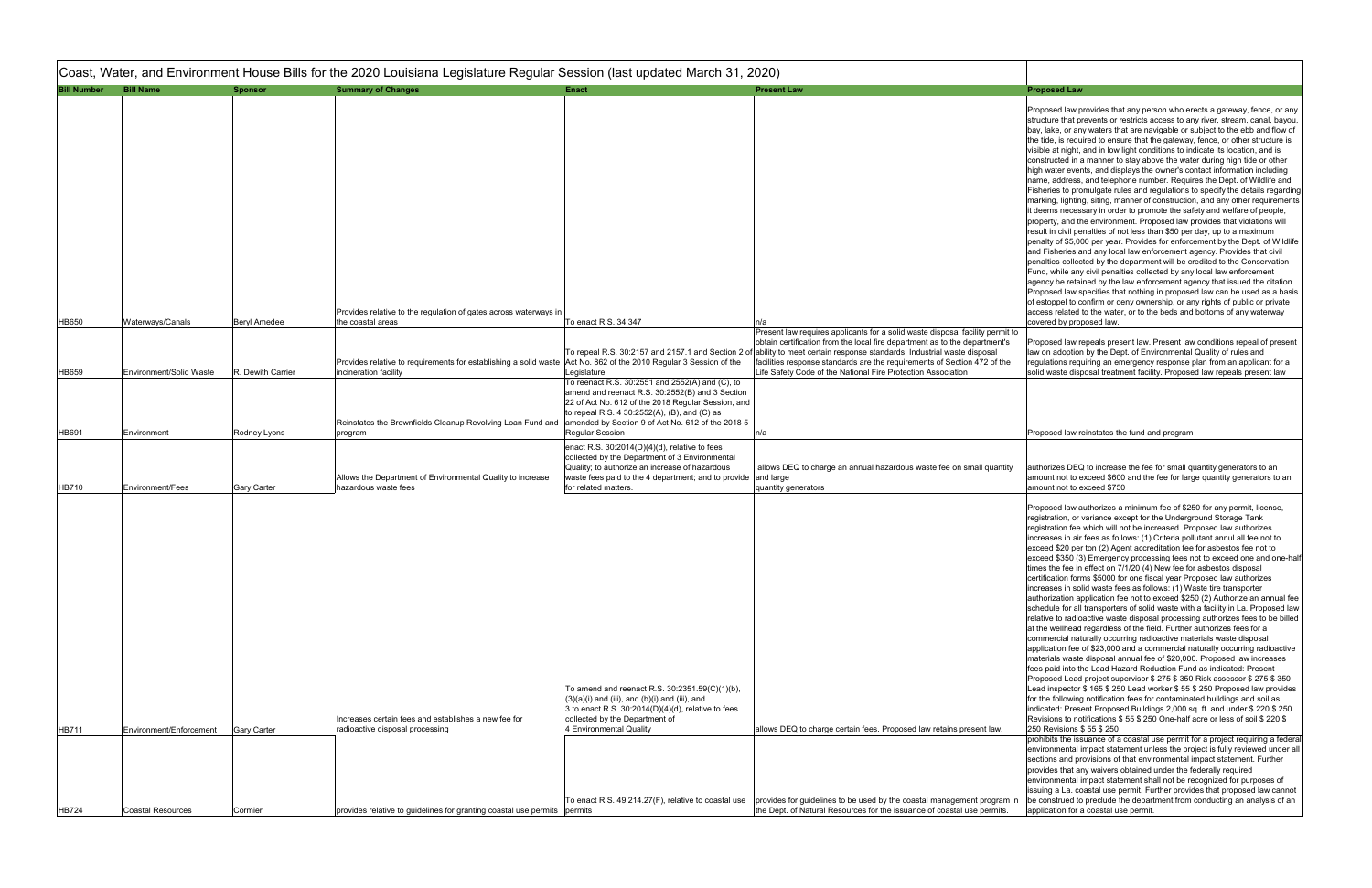|                    |                          |                     | Coast, Water, and Environment House Bills for the 2020 Louisiana Legislature Regular Session (last updated March 31, 2020)                 |                                                                                                                                                                                                                                                                                                                                                                                                                                                 |                                                                                                                                                                                                                                                                                                                                                                                                                                     |                                                                                                                                                                                                                                                                                                                                                                                                                                                                                                                                                                                                                                                                                                                                                                                                                                                                                                                                                                                                                                                                                                                                                                                                                                                                                                                                                                                          |
|--------------------|--------------------------|---------------------|--------------------------------------------------------------------------------------------------------------------------------------------|-------------------------------------------------------------------------------------------------------------------------------------------------------------------------------------------------------------------------------------------------------------------------------------------------------------------------------------------------------------------------------------------------------------------------------------------------|-------------------------------------------------------------------------------------------------------------------------------------------------------------------------------------------------------------------------------------------------------------------------------------------------------------------------------------------------------------------------------------------------------------------------------------|------------------------------------------------------------------------------------------------------------------------------------------------------------------------------------------------------------------------------------------------------------------------------------------------------------------------------------------------------------------------------------------------------------------------------------------------------------------------------------------------------------------------------------------------------------------------------------------------------------------------------------------------------------------------------------------------------------------------------------------------------------------------------------------------------------------------------------------------------------------------------------------------------------------------------------------------------------------------------------------------------------------------------------------------------------------------------------------------------------------------------------------------------------------------------------------------------------------------------------------------------------------------------------------------------------------------------------------------------------------------------------------|
| <b>Bill Number</b> | <b>Bill Name</b>         | <b>Sponsor</b>      | <b>Summary of Changes</b>                                                                                                                  | <b>Enact</b>                                                                                                                                                                                                                                                                                                                                                                                                                                    | <b>Present Law</b>                                                                                                                                                                                                                                                                                                                                                                                                                  | <b>Proposed Law</b>                                                                                                                                                                                                                                                                                                                                                                                                                                                                                                                                                                                                                                                                                                                                                                                                                                                                                                                                                                                                                                                                                                                                                                                                                                                                                                                                                                      |
|                    |                          |                     | Provides relative to the regulation of gates across waterways in                                                                           |                                                                                                                                                                                                                                                                                                                                                                                                                                                 |                                                                                                                                                                                                                                                                                                                                                                                                                                     | Proposed law provides that any person who et<br>structure that prevents or restricts access to a<br>bay, lake, or any waters that are navigable or a<br>the tide, is required to ensure that the gateway<br>visible at night, and in low light conditions to in<br>constructed in a manner to stay above the wat<br>high water events, and displays the owner's co<br>name, address, and telephone number. Requi<br>Fisheries to promulgate rules and regulations<br>marking, lighting, siting, manner of constructio<br>it deems necessary in order to promote the sa<br>property, and the environment. Proposed law<br>result in civil penalties of not less than \$50 per<br>penalty of \$5,000 per year. Provides for enford<br>and Fisheries and any local law enforcement a<br>penalties collected by the department will be c<br>Fund, while any civil penalties collected by any<br>agency be retained by the law enforcement ag<br>Proposed law specifies that nothing in propose<br>of estoppel to confirm or deny ownership, or a<br>access related to the water, or to the beds and                                                                                                                                                                                                                                                                                          |
| <b>HB650</b>       | Waterways/Canals         | <b>Beryl Amedee</b> | the coastal areas                                                                                                                          | To enact R.S. 34:347                                                                                                                                                                                                                                                                                                                                                                                                                            | n/a                                                                                                                                                                                                                                                                                                                                                                                                                                 | covered by proposed law.                                                                                                                                                                                                                                                                                                                                                                                                                                                                                                                                                                                                                                                                                                                                                                                                                                                                                                                                                                                                                                                                                                                                                                                                                                                                                                                                                                 |
| HB659              | Environment/Solid Waste  | R. Dewith Carrier   | Provides relative to requirements for establishing a solid waste Act No. 862 of the 2010 Regular 3 Session of the<br>incineration facility | Legislature                                                                                                                                                                                                                                                                                                                                                                                                                                     | Present law requires applicants for a solid waste disposal facility permit to<br>obtain certification from the local fire department as to the department's<br>To repeal R.S. 30:2157 and 2157.1 and Section 2 of ability to meet certain response standards. Industrial waste disposal<br>facilities response standards are the requirements of Section 472 of the<br>Life Safety Code of the National Fire Protection Association | Proposed law repeals present law. Present lay<br>law on adoption by the Dept. of Environmental<br>regulations requiring an emergency response<br>solid waste disposal treatment facility. Propose                                                                                                                                                                                                                                                                                                                                                                                                                                                                                                                                                                                                                                                                                                                                                                                                                                                                                                                                                                                                                                                                                                                                                                                        |
| HB691              | Environment              | Rodney Lyons        | Reinstates the Brownfields Cleanup Revolving Loan Fund and<br>program                                                                      | To reenact R.S. 30:2551 and 2552(A) and (C), to<br>amend and reenact R.S. 30:2552(B) and 3 Section<br>22 of Act No. 612 of the 2018 Regular Session, and<br>to repeal R.S. 4 30:2552(A), (B), and (C) as<br>amended by Section 9 of Act No. 612 of the 2018 5<br><b>Regular Session</b><br>enact R.S. $30:2014(D)(4)(d)$ , relative to fees<br>collected by the Department of 3 Environmental<br>Quality; to authorize an increase of hazardous | n/a<br>allows DEQ to charge an annual hazardous waste fee on small quantity                                                                                                                                                                                                                                                                                                                                                         | Proposed law reinstates the fund and program<br>authorizes DEQ to increase the fee for small o                                                                                                                                                                                                                                                                                                                                                                                                                                                                                                                                                                                                                                                                                                                                                                                                                                                                                                                                                                                                                                                                                                                                                                                                                                                                                           |
| <b>HB710</b>       | <b>Environment/Fees</b>  | <b>Gary Carter</b>  | Allows the Department of Environmental Quality to increase<br>hazardous waste fees                                                         | waste fees paid to the 4 department; and to provide and large<br>for related matters.                                                                                                                                                                                                                                                                                                                                                           | quantity generators                                                                                                                                                                                                                                                                                                                                                                                                                 | amount not to exceed \$600 and the fee for lar<br>amount not to exceed \$750                                                                                                                                                                                                                                                                                                                                                                                                                                                                                                                                                                                                                                                                                                                                                                                                                                                                                                                                                                                                                                                                                                                                                                                                                                                                                                             |
| <b>HB711</b>       | Environment/Enforcement  | <b>Gary Carter</b>  | Increases certain fees and establishes a new fee for<br>radioactive disposal processing                                                    | To amend and reenact R.S. 30:2351.59(C)(1)(b),<br>$(3)(a)(i)$ and (iii), and (b)(i) and (iii), and<br>3 to enact R.S. 30:2014(D)(4)(d), relative to fees<br>collected by the Department of<br>4 Environmental Quality                                                                                                                                                                                                                           | allows DEQ to charge certain fees. Proposed law retains present law.                                                                                                                                                                                                                                                                                                                                                                | Proposed law authorizes a minimum fee of \$2<br>registration, or variance except for the Underg<br>registration fee which will not be increased. Pr<br>increases in air fees as follows: (1) Criteria pol<br>exceed \$20 per ton (2) Agent accreditation fee<br>exceed \$350 (3) Emergency processing fees a<br>times the fee in effect on 7/1/20 (4) New fee fo<br>certification forms \$5000 for one fiscal year Pr<br>increases in solid waste fees as follows: (1) W<br>authorization application fee not to exceed \$2<br>schedule for all transporters of solid waste with<br>relative to radioactive waste disposal processi<br>at the wellhead regardless of the field. Further<br>commercial naturally occurring radioactive ma<br>application fee of \$23,000 and a commercial r<br>materials waste disposal annual fee of \$20,00<br>fees paid into the Lead Hazard Reduction Fun<br>Proposed Lead project supervisor \$275 \$350<br>Lead inspector \$165 \$250 Lead worker \$55<br>for the following notification fees for contamina<br>indicated: Present Proposed Buildings 2,000 s<br>Revisions to notifications \$55 \$250 One-half<br>250 Revisions \$ 55 \$ 250<br>prohibits the issuance of a coastal use permit<br>environmental impact statement unless the pro-<br>sections and provisions of that environmental<br>provides that any waivers obtained under the 1 |
| <b>HB724</b>       | <b>Coastal Resources</b> | Cormier             | provides relative to guidelines for granting coastal use permits permits                                                                   | To enact R.S. 49:214.27(F), relative to coastal use                                                                                                                                                                                                                                                                                                                                                                                             | provides for guidelines to be used by the coastal management program in<br>the Dept. of Natural Resources for the issuance of coastal use permits.                                                                                                                                                                                                                                                                                  | environmental impact statement shall not be re<br>issuing a La. coastal use permit. Further provi-<br>be construed to preclude the department from<br>application for a coastal use permit.                                                                                                                                                                                                                                                                                                                                                                                                                                                                                                                                                                                                                                                                                                                                                                                                                                                                                                                                                                                                                                                                                                                                                                                              |
|                    |                          |                     |                                                                                                                                            |                                                                                                                                                                                                                                                                                                                                                                                                                                                 |                                                                                                                                                                                                                                                                                                                                                                                                                                     |                                                                                                                                                                                                                                                                                                                                                                                                                                                                                                                                                                                                                                                                                                                                                                                                                                                                                                                                                                                                                                                                                                                                                                                                                                                                                                                                                                                          |

|        | Proposed Law                                                                                                                                                                                                                                                                                                                                                                                                                                                                                                                                                                                                                                                                                                                                                                                                                                                                                                                                                                                                                                                                                                                                                                                                                                                                                                                                                                                                                                                                                                                                                                                                                                                                                                                                                        |
|--------|---------------------------------------------------------------------------------------------------------------------------------------------------------------------------------------------------------------------------------------------------------------------------------------------------------------------------------------------------------------------------------------------------------------------------------------------------------------------------------------------------------------------------------------------------------------------------------------------------------------------------------------------------------------------------------------------------------------------------------------------------------------------------------------------------------------------------------------------------------------------------------------------------------------------------------------------------------------------------------------------------------------------------------------------------------------------------------------------------------------------------------------------------------------------------------------------------------------------------------------------------------------------------------------------------------------------------------------------------------------------------------------------------------------------------------------------------------------------------------------------------------------------------------------------------------------------------------------------------------------------------------------------------------------------------------------------------------------------------------------------------------------------|
| t to   | Proposed law provides that any person who erects a gateway, fence, or any<br>structure that prevents or restricts access to any river, stream, canal, bayou,<br>bay, lake, or any waters that are navigable or subject to the ebb and flow of<br>the tide, is required to ensure that the gateway, fence, or other structure is<br>visible at night, and in low light conditions to indicate its location, and is<br>constructed in a manner to stay above the water during high tide or other<br>high water events, and displays the owner's contact information including<br>name, address, and telephone number. Requires the Dept. of Wildlife and<br>Fisheries to promulgate rules and regulations to specify the details regarding<br>marking, lighting, siting, manner of construction, and any other requirements<br>it deems necessary in order to promote the safety and welfare of people,<br>property, and the environment. Proposed law provides that violations will<br>result in civil penalties of not less than \$50 per day, up to a maximum<br>penalty of \$5,000 per year. Provides for enforcement by the Dept. of Wildlife<br>and Fisheries and any local law enforcement agency. Provides that civil<br>penalties collected by the department will be credited to the Conservation<br>Fund, while any civil penalties collected by any local law enforcement<br>agency be retained by the law enforcement agency that issued the citation.<br>Proposed law specifies that nothing in proposed law can be used as a basis<br>of estoppel to confirm or deny ownership, or any rights of public or private<br>access related to the water, or to the beds and bottoms of any waterway<br>covered by proposed law.                              |
| 3<br>э | Proposed law repeals present law. Present law conditions repeal of present<br>law on adoption by the Dept. of Environmental Quality of rules and<br>regulations requiring an emergency response plan from an applicant for a<br>solid waste disposal treatment facility. Proposed law repeals present law                                                                                                                                                                                                                                                                                                                                                                                                                                                                                                                                                                                                                                                                                                                                                                                                                                                                                                                                                                                                                                                                                                                                                                                                                                                                                                                                                                                                                                                           |
|        | Proposed law reinstates the fund and program                                                                                                                                                                                                                                                                                                                                                                                                                                                                                                                                                                                                                                                                                                                                                                                                                                                                                                                                                                                                                                                                                                                                                                                                                                                                                                                                                                                                                                                                                                                                                                                                                                                                                                                        |
| ty     | authorizes DEQ to increase the fee for small quantity generators to an<br>amount not to exceed \$600 and the fee for large quantity generators to an<br>amount not to exceed \$750                                                                                                                                                                                                                                                                                                                                                                                                                                                                                                                                                                                                                                                                                                                                                                                                                                                                                                                                                                                                                                                                                                                                                                                                                                                                                                                                                                                                                                                                                                                                                                                  |
|        | Proposed law authorizes a minimum fee of \$250 for any permit, license,<br>registration, or variance except for the Underground Storage Tank<br>registration fee which will not be increased. Proposed law authorizes<br>increases in air fees as follows: (1) Criteria pollutant annul all fee not to<br>exceed \$20 per ton (2) Agent accreditation fee for asbestos fee not to<br>exceed \$350 (3) Emergency processing fees not to exceed one and one-half<br>times the fee in effect on 7/1/20 (4) New fee for asbestos disposal<br>certification forms \$5000 for one fiscal year Proposed law authorizes<br>increases in solid waste fees as follows: (1) Waste tire transporter<br>authorization application fee not to exceed \$250 (2) Authorize an annual fee<br>schedule for all transporters of solid waste with a facility in La. Proposed law<br>relative to radioactive waste disposal processing authorizes fees to be billed<br>at the wellhead regardless of the field. Further authorizes fees for a<br>commercial naturally occurring radioactive materials waste disposal<br>application fee of \$23,000 and a commercial naturally occurring radioactive<br>materials waste disposal annual fee of \$20,000. Proposed law increases<br>fees paid into the Lead Hazard Reduction Fund as indicated: Present<br>Proposed Lead project supervisor \$ 275 \$ 350 Risk assessor \$ 275 \$ 350<br>Lead inspector \$165 \$250 Lead worker \$55 \$250 Proposed law provides<br>for the following notification fees for contaminated buildings and soil as<br>indicated: Present Proposed Buildings 2,000 sq. ft. and under \$ 220 \$ 250<br>Revisions to notifications \$55 \$250 One-half acre or less of soil \$220 \$<br>250 Revisions \$55 \$250 |
| า in   | prohibits the issuance of a coastal use permit for a project requiring a federal<br>environmental impact statement unless the project is fully reviewed under all<br>sections and provisions of that environmental impact statement. Further<br>provides that any waivers obtained under the federally required<br>environmental impact statement shall not be recognized for purposes of<br>issuing a La. coastal use permit. Further provides that proposed law cannot<br>be construed to preclude the department from conducting an analysis of an<br>application for a coastal use permit.                                                                                                                                                                                                                                                                                                                                                                                                                                                                                                                                                                                                                                                                                                                                                                                                                                                                                                                                                                                                                                                                                                                                                                      |